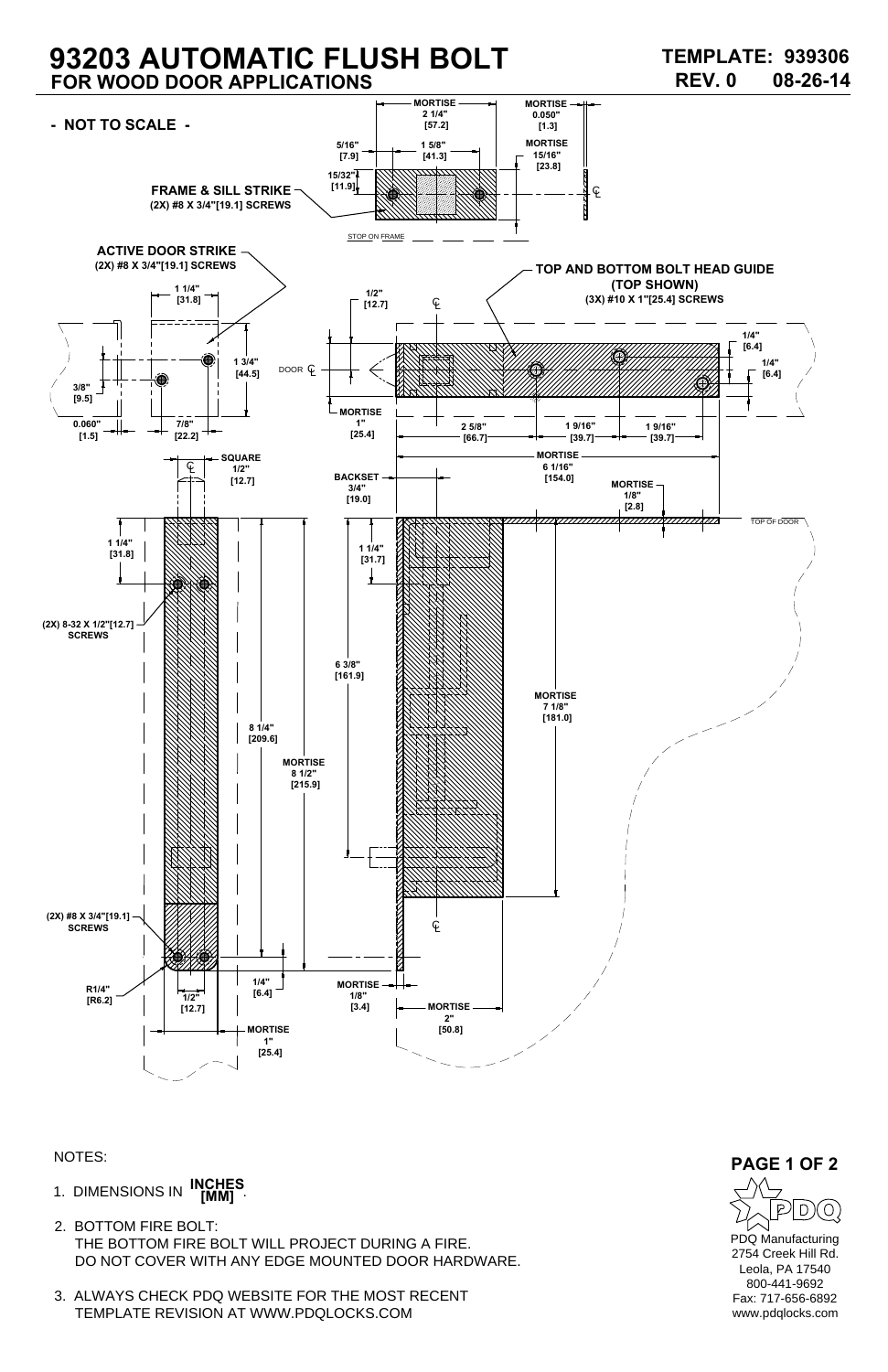- 1. DIMENSIONS IN **INCHES [MM]**
- 2. BOTTOM FIRE BOLT: THE BOTTOM FIRE BOLT WILL PROJECT DURING A FIRE. DO NOT COVER WITH ANY EDGE MOUNTED DOOR HARDWARE.
- 3. ALWAYS CHECK PDQ WEBSITE FOR THE MOST RECENT TEMPLATE REVISION AT WWW.PDQLOCKS.COM

## **93203 AUTOMATIC FLUSH BOLT FOR WOOD DOOR APPLICATIONS**

NOTES: